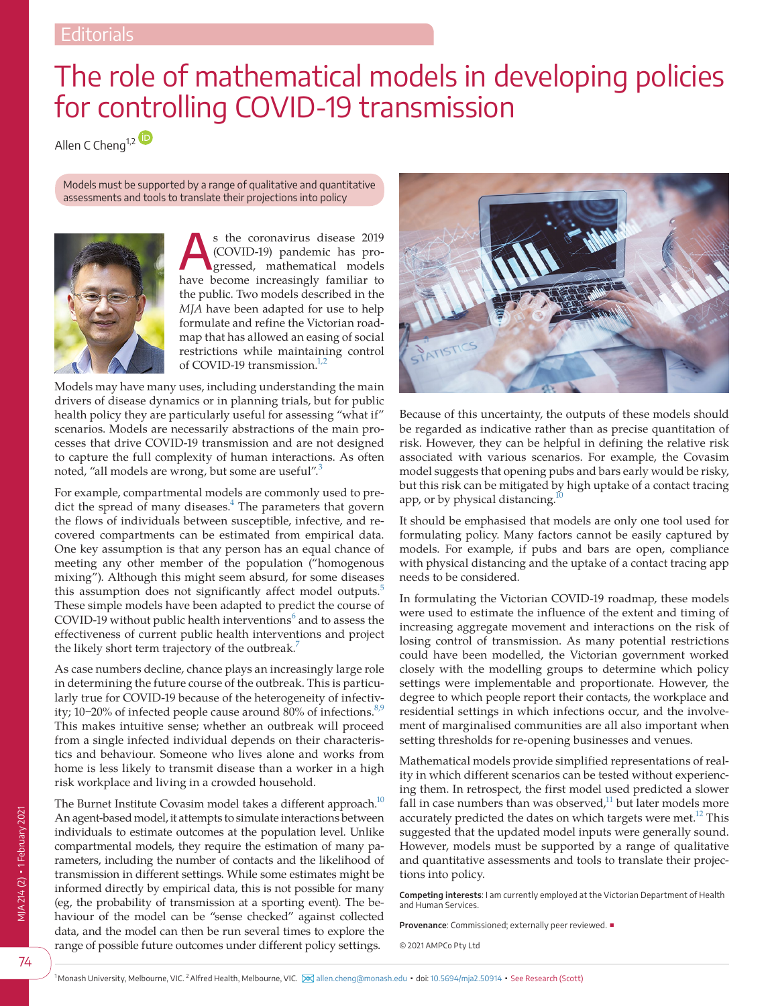## The role of mathematical models in developing policies for controlling COVID-19 transmission

Allen C Cheng<sup>1,[2](https://orcid.org/0000-0003-3152-116X)</sup>

Models must be supported by a range of qualitative and quantitative assessments and tools to translate their projections into policy



s the coronavirus disease 2019<br>
(COVID-19) pandemic has pro-<br>
gressed, mathematical models (COVID-19) pandemic has prohave become increasingly familiar to the public. Two models described in the *MJA* have been adapted for use to help formulate and refine the Victorian roadmap that has allowed an easing of social restrictions while maintaining control of COVID-19 transmission. $1/2$ 

Models may have many uses, including understanding the main drivers of disease dynamics or in planning trials, but for public health policy they are particularly useful for assessing "what if" scenarios. Models are necessarily abstractions of the main processes that drive COVID-19 transmission and are not designed to capture the full complexity of human interactions. As often noted, "all models are wrong, but some are useful".[3](#page-1-1)

For example, compartmental models are commonly used to predict the spread of many diseases. $4$  The parameters that govern the flows of individuals between susceptible, infective, and recovered compartments can be estimated from empirical data. One key assumption is that any person has an equal chance of meeting any other member of the population ("homogenous mixing"). Although this might seem absurd, for some diseases this assumption does not significantly affect model outputs.<sup>[5](#page-1-3)</sup> These simple models have been adapted to predict the course of COVID-19 without public health interventions $^6$  $^6$  and to assess the effectiveness of current public health interventions and project the likely short term trajectory of the outbreak.<sup>[7](#page-1-5)</sup>

As case numbers decline, chance plays an increasingly large role in determining the future course of the outbreak. This is particularly true for COVID-19 because of the heterogeneity of infectiv-ity; 10–20% of infected people cause around 80% of infections.<sup>[8,9](#page-1-6)</sup> This makes intuitive sense; whether an outbreak will proceed from a single infected individual depends on their characteristics and behaviour. Someone who lives alone and works from home is less likely to transmit disease than a worker in a high risk workplace and living in a crowded household.

The Burnet Institute Covasim model takes a different approach.<sup>10</sup> An agent-based model, it attempts to simulate interactions between individuals to estimate outcomes at the population level. Unlike compartmental models, they require the estimation of many parameters, including the number of contacts and the likelihood of transmission in different settings. While some estimates might be informed directly by empirical data, this is not possible for many (eg, the probability of transmission at a sporting event). The behaviour of the model can be "sense checked" against collected data, and the model can then be run several times to explore the range of possible future outcomes under different policy settings.



Because of this uncertainty, the outputs of these models should be regarded as indicative rather than as precise quantitation of risk. However, they can be helpful in defining the relative risk associated with various scenarios. For example, the Covasim model suggests that opening pubs and bars early would be risky, but this risk can be mitigated by high uptake of a contact tracing app, or by physical distancing.<sup>10</sup>

It should be emphasised that models are only one tool used for formulating policy. Many factors cannot be easily captured by models. For example, if pubs and bars are open, compliance with physical distancing and the uptake of a contact tracing app needs to be considered.

In formulating the Victorian COVID-19 roadmap, these models were used to estimate the influence of the extent and timing of increasing aggregate movement and interactions on the risk of losing control of transmission. As many potential restrictions could have been modelled, the Victorian government worked closely with the modelling groups to determine which policy settings were implementable and proportionate. However, the degree to which people report their contacts, the workplace and residential settings in which infections occur, and the involvement of marginalised communities are all also important when setting thresholds for re-opening businesses and venues.

Mathematical models provide simplified representations of reality in which different scenarios can be tested without experiencing them. In retrospect, the first model used predicted a slower fall in case numbers than was observed, $11$  but later models more accurately predicted the dates on which targets were met.<sup>12</sup> This suggested that the updated model inputs were generally sound. However, models must be supported by a range of qualitative and quantitative assessments and tools to translate their projections into policy.

**Competing interests**: I am currently employed at the Victorian Department of Health and Human Services.

**Provenance**: Commissioned; externally peer reviewed. ■

© 2021 AMPCo Pty Ltd